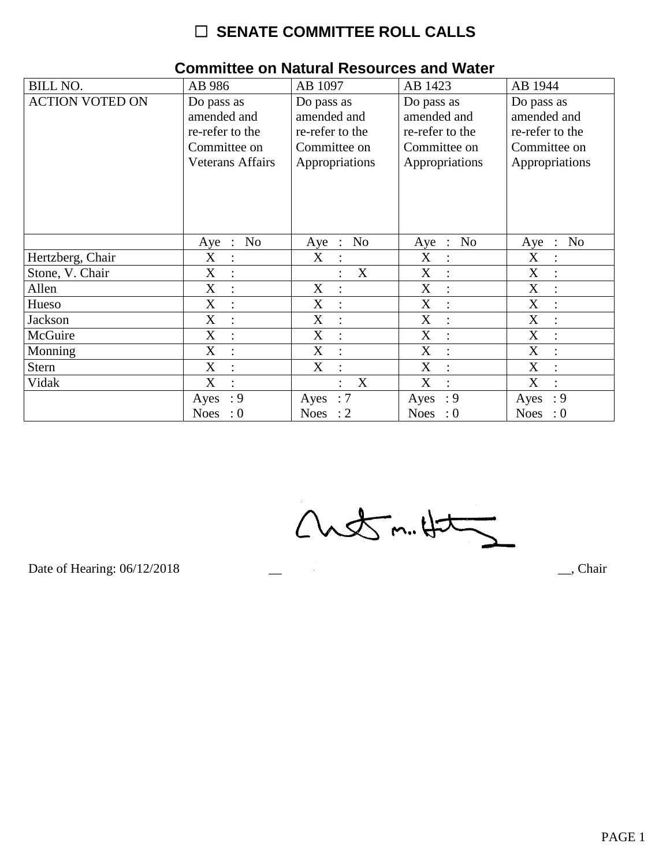| <b>BILL NO.</b>        | AB 986                                                                                  | AB 1097                                                                        | AB 1423                                                                        | AB 1944                                                                        |
|------------------------|-----------------------------------------------------------------------------------------|--------------------------------------------------------------------------------|--------------------------------------------------------------------------------|--------------------------------------------------------------------------------|
| <b>ACTION VOTED ON</b> | Do pass as<br>amended and<br>re-refer to the<br>Committee on<br><b>Veterans Affairs</b> | Do pass as<br>amended and<br>re-refer to the<br>Committee on<br>Appropriations | Do pass as<br>amended and<br>re-refer to the<br>Committee on<br>Appropriations | Do pass as<br>amended and<br>re-refer to the<br>Committee on<br>Appropriations |
|                        | No<br>Aye<br>$\ddot{\phantom{1}}$ :                                                     | No<br>Aye<br>$\ddot{\phantom{1}}$                                              | N <sub>0</sub><br>Aye<br>$\mathbb{R}$                                          | N <sub>o</sub><br>Aye<br>$\therefore$                                          |
| Hertzberg, Chair       | X                                                                                       | X                                                                              | X                                                                              | X                                                                              |
| Stone, V. Chair        | $\boldsymbol{\mathrm{X}}$<br>$\ddot{\cdot}$                                             | X                                                                              | X                                                                              | X                                                                              |
| Allen                  | X<br>$\ddot{\cdot}$                                                                     | X<br>$\overline{\cdot}$                                                        | X<br>$\ddot{\cdot}$                                                            | X<br>$\ddot{\cdot}$                                                            |
| Hueso                  | X                                                                                       | X                                                                              | X                                                                              | X                                                                              |
| Jackson                | $\boldsymbol{\mathrm{X}}$<br>$\ddot{\cdot}$                                             | X                                                                              | X<br>$\ddot{\cdot}$                                                            | $\boldsymbol{\mathrm{X}}$                                                      |
| McGuire                | $\mathbf X$<br>$\cdot$                                                                  | X<br>$\bullet$                                                                 | X<br>$\bullet$                                                                 | X                                                                              |
| Monning                | $\mathbf X$                                                                             | X                                                                              | X                                                                              | X                                                                              |
| <b>Stern</b>           | X                                                                                       | X                                                                              | X<br>$\ddot{\cdot}$                                                            | X                                                                              |
| Vidak                  | X<br>$\bullet$                                                                          | X<br>$\bullet$                                                                 | X<br>$\bullet$                                                                 | X                                                                              |
|                        | : 9<br>Ayes                                                                             | :7<br>Ayes                                                                     | : 9<br>Ayes                                                                    | : 9<br>Ayes                                                                    |
|                        | Noes<br>$\cdot 0$                                                                       | Noes : $2$                                                                     | Noes : $0$                                                                     | Noes : $0$                                                                     |

#### **Committee on Natural Resources and Water**

 $Custm.4t5$ 

Date of Hearing: 06/12/2018

 $\overline{\phantom{a}}$ , Chair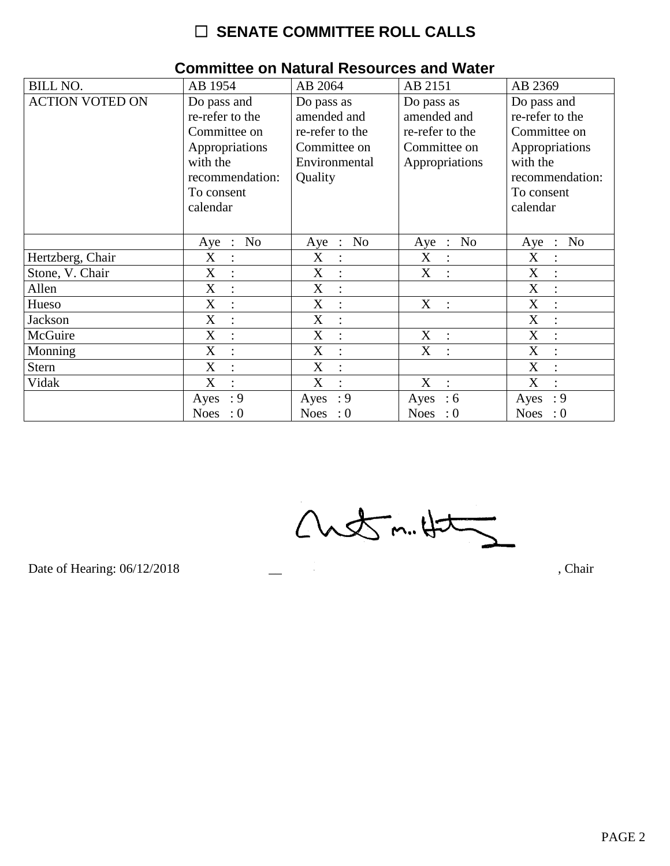| <b>BILL NO.</b>        | AB 1954                             | AB 2064                                 | AB 2151                                 | AB 2369                               |
|------------------------|-------------------------------------|-----------------------------------------|-----------------------------------------|---------------------------------------|
| <b>ACTION VOTED ON</b> | Do pass and                         | Do pass as                              | Do pass as                              | Do pass and                           |
|                        | re-refer to the                     | amended and                             | amended and                             | re-refer to the                       |
|                        | Committee on                        | re-refer to the                         | re-refer to the                         | Committee on                          |
|                        | Appropriations                      | Committee on                            | Committee on                            | Appropriations                        |
|                        | with the                            | Environmental                           | Appropriations                          | with the                              |
|                        | recommendation:                     | Quality                                 |                                         | recommendation:                       |
|                        | To consent                          |                                         |                                         | To consent                            |
|                        | calendar                            |                                         |                                         | calendar                              |
|                        |                                     |                                         |                                         |                                       |
|                        | No<br>Aye<br>$\ddot{\phantom{1}}$ : | N <sub>o</sub><br>Aye<br>$\mathbb{R}^2$ | N <sub>o</sub><br>Aye<br>$\mathbb{R}^2$ | N <sub>o</sub><br>Aye<br>$\therefore$ |
| Hertzberg, Chair       | X<br>$\ddot{\cdot}$                 | X<br>$\ddot{\cdot}$                     | X<br>$\ddot{\cdot}$                     | X                                     |
| Stone, V. Chair        | X<br>$\ddot{\cdot}$                 | X<br>$\ddot{\phantom{a}}$               | X<br>$\ddot{\cdot}$                     | X                                     |
| Allen                  | X<br>$\cdot$                        | X<br>$\ddot{ }$                         |                                         | X<br>$\ddot{\cdot}$                   |
| Hueso                  | X<br>$\ddot{\cdot}$                 | X<br>$\ddot{\cdot}$                     | X<br>$\ddot{\phantom{a}}$               | X                                     |
| Jackson                | X<br>$\ddot{\cdot}$                 | X<br>$\ddot{\cdot}$                     |                                         | X                                     |
| McGuire                | X<br>$\bullet$                      | X<br>$\ddot{\cdot}$                     | X<br>$\cdot$                            | X<br>$\bullet$                        |
| Monning                | X                                   | X                                       | X                                       | X                                     |
| <b>Stern</b>           | X                                   | X<br>$\ddot{\cdot}$                     |                                         | X                                     |
| Vidak                  | X<br>$\bullet$                      | X<br>$\bullet$                          | X<br>$\ddot{\cdot}$                     | X                                     |
|                        | : 9<br>Ayes                         | : 9<br>Ayes                             | :6<br>Ayes                              | : 9<br>Ayes                           |
|                        | <b>Noes</b><br>$\colon 0$           | Noes : $0$                              | Noes : $0$                              | Noes : $0$                            |

#### **Committee on Natural Resources and Water**

 $Custm.4t2$ 

Date of Hearing: 06/12/2018

, Chair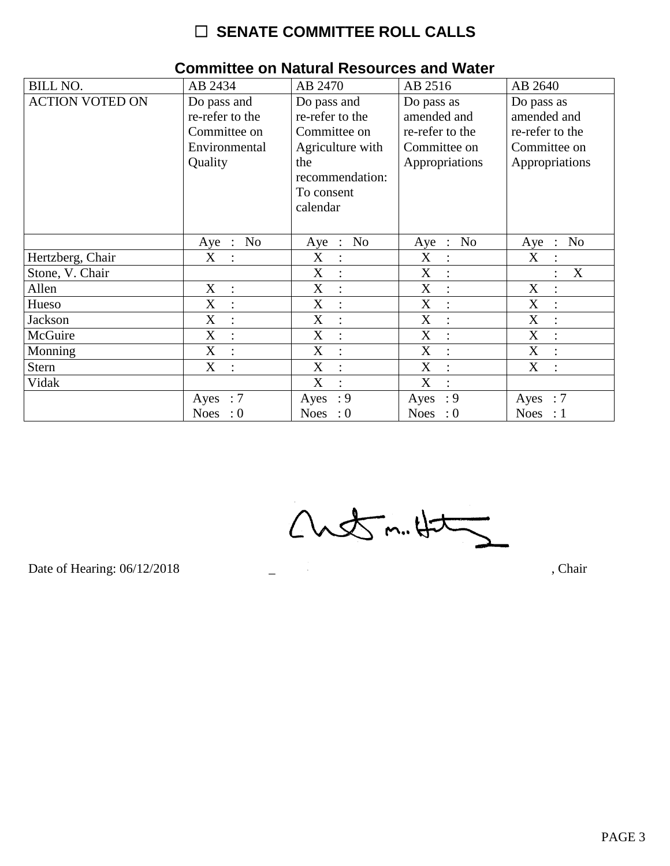| <b>BILL NO.</b>        | AB 2434                 | AB 2470                   | AB 2516                                  | AB 2640                            |
|------------------------|-------------------------|---------------------------|------------------------------------------|------------------------------------|
| <b>ACTION VOTED ON</b> | Do pass and             | Do pass and               | Do pass as                               | Do pass as                         |
|                        | re-refer to the         | re-refer to the           | amended and                              | amended and                        |
|                        | Committee on            | Committee on              | re-refer to the                          | re-refer to the                    |
|                        | Environmental           | Agriculture with          | Committee on                             | Committee on                       |
|                        | Quality                 | the                       | Appropriations                           | Appropriations                     |
|                        |                         | recommendation:           |                                          |                                    |
|                        |                         | To consent                |                                          |                                    |
|                        |                         | calendar                  |                                          |                                    |
|                        |                         |                           |                                          |                                    |
|                        | N <sub>o</sub><br>Aye : | N <sub>o</sub><br>$Aye$ : | N <sub>o</sub><br>Aye<br>$\sim$ 1 $\sim$ | N <sub>o</sub><br>Aye<br>$\cdot$ : |
| Hertzberg, Chair       | X                       | X<br>$\ddot{\cdot}$       | X                                        | X                                  |
| Stone, V. Chair        |                         | X<br>$\ddot{\cdot}$       | X<br>÷                                   | X                                  |
| Allen                  | X<br>$\ddot{\cdot}$     | X<br>$\ddot{\cdot}$       | X                                        | X                                  |
| Hueso                  | X                       | X<br>$\ddot{\cdot}$       | X                                        | X                                  |
| Jackson                | X                       | X<br>$\ddot{\cdot}$       | X                                        | X                                  |
| McGuire                | X<br>$\cdot$            | X<br>$\ddot{\cdot}$       | X<br>$\cdot$                             | X<br>$\bullet$                     |
| Monning                | X                       | X<br>$\ddot{\cdot}$       | X                                        | X                                  |
| Stern                  | X                       | X<br>$\ddot{\cdot}$       | X<br>$\ddot{\cdot}$                      | X                                  |
| Vidak                  |                         | X<br>$\bullet$            | X                                        |                                    |
|                        | Ayes : $7$              | : 9<br>Ayes               | : 9<br>Ayes                              | Ayes<br>$\therefore 7$             |
|                        | Noes : $0$              | Noes : $0$                | Noes : $0$                               | Noes : $1$                         |

#### **Committee on Natural Resources and Water**

 $Custm.4t5$ 

Date of Hearing: 06/12/2018

, Chair